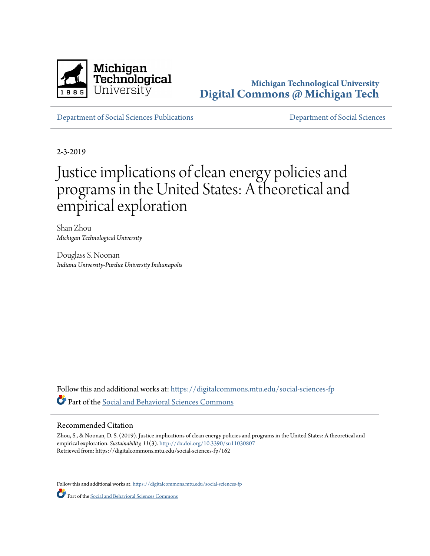

**Michigan Technological University [Digital Commons @ Michigan Tech](https://digitalcommons.mtu.edu?utm_source=digitalcommons.mtu.edu%2Fsocial-sciences-fp%2F162&utm_medium=PDF&utm_campaign=PDFCoverPages)**

[Department of Social Sciences Publications](https://digitalcommons.mtu.edu/social-sciences-fp?utm_source=digitalcommons.mtu.edu%2Fsocial-sciences-fp%2F162&utm_medium=PDF&utm_campaign=PDFCoverPages) [Department of Social Sciences](https://digitalcommons.mtu.edu/social-sciences?utm_source=digitalcommons.mtu.edu%2Fsocial-sciences-fp%2F162&utm_medium=PDF&utm_campaign=PDFCoverPages)

2-3-2019

# Justice implications of clean energy policies and programs in the United States: A theoretical and empirical exploration

Shan Zhou *Michigan Technological University*

Douglass S. Noonan *Indiana University-Purdue University Indianapolis*

Follow this and additional works at: [https://digitalcommons.mtu.edu/social-sciences-fp](https://digitalcommons.mtu.edu/social-sciences-fp?utm_source=digitalcommons.mtu.edu%2Fsocial-sciences-fp%2F162&utm_medium=PDF&utm_campaign=PDFCoverPages) Part of the [Social and Behavioral Sciences Commons](http://network.bepress.com/hgg/discipline/316?utm_source=digitalcommons.mtu.edu%2Fsocial-sciences-fp%2F162&utm_medium=PDF&utm_campaign=PDFCoverPages)

# Recommended Citation

Zhou, S., & Noonan, D. S. (2019). Justice implications of clean energy policies and programs in the United States: A theoretical and empirical exploration. *Sustainability, 11*(3). <http://dx.doi.org/10.3390/su11030807> Retrieved from: https://digitalcommons.mtu.edu/social-sciences-fp/162

Follow this and additional works at: [https://digitalcommons.mtu.edu/social-sciences-fp](https://digitalcommons.mtu.edu/social-sciences-fp?utm_source=digitalcommons.mtu.edu%2Fsocial-sciences-fp%2F162&utm_medium=PDF&utm_campaign=PDFCoverPages)

Part of the [Social and Behavioral Sciences Commons](http://network.bepress.com/hgg/discipline/316?utm_source=digitalcommons.mtu.edu%2Fsocial-sciences-fp%2F162&utm_medium=PDF&utm_campaign=PDFCoverPages)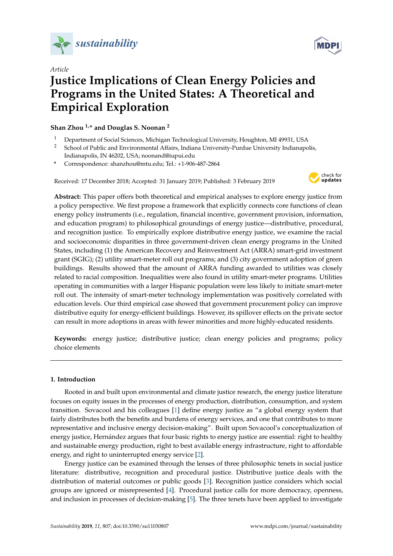



# **Justice Implications of Clean Energy Policies and Programs in the United States: A Theoretical and Empirical Exploration**

# **Shan Zhou 1,\* and Douglas S. Noonan <sup>2</sup>**

- <sup>1</sup> Department of Social Sciences, Michigan Technological University, Houghton, MI 49931, USA
- <sup>2</sup> School of Public and Environmental Affairs, Indiana University-Purdue University Indianapolis, Indianapolis, IN 46202, USA; noonand@iupui.edu
- **\*** Correspondence: shanzhou@mtu.edu; Tel.: +1-906-487-2864

Received: 17 December 2018; Accepted: 31 January 2019; Published: 3 February 2019



**Abstract:** This paper offers both theoretical and empirical analyses to explore energy justice from a policy perspective. We first propose a framework that explicitly connects core functions of clean energy policy instruments (i.e., regulation, financial incentive, government provision, information, and education program) to philosophical groundings of energy justice—distributive, procedural, and recognition justice. To empirically explore distributive energy justice, we examine the racial and socioeconomic disparities in three government-driven clean energy programs in the United States, including (1) the American Recovery and Reinvestment Act (ARRA) smart-grid investment grant (SGIG); (2) utility smart-meter roll out programs; and (3) city government adoption of green buildings. Results showed that the amount of ARRA funding awarded to utilities was closely related to racial composition. Inequalities were also found in utility smart-meter programs. Utilities operating in communities with a larger Hispanic population were less likely to initiate smart-meter roll out. The intensity of smart-meter technology implementation was positively correlated with education levels. Our third empirical case showed that government procurement policy can improve distributive equity for energy-efficient buildings. However, its spillover effects on the private sector can result in more adoptions in areas with fewer minorities and more highly-educated residents.

**Keywords:** energy justice; distributive justice; clean energy policies and programs; policy choice elements

# **1. Introduction**

Rooted in and built upon environmental and climate justice research, the energy justice literature focuses on equity issues in the processes of energy production, distribution, consumption, and system transition. Sovacool and his colleagues [\[1\]](#page-16-0) define energy justice as "a global energy system that fairly distributes both the benefits and burdens of energy services, and one that contributes to more representative and inclusive energy decision-making". Built upon Sovacool's conceptualization of energy justice, Hernández argues that four basic rights to energy justice are essential: right to healthy and sustainable energy production, right to best available energy infrastructure, right to affordable energy, and right to uninterrupted energy service [\[2\]](#page-16-1).

Energy justice can be examined through the lenses of three philosophic tenets in social justice literature: distributive, recognition and procedural justice. Distributive justice deals with the distribution of material outcomes or public goods [\[3\]](#page-16-2). Recognition justice considers which social groups are ignored or misrepresented [\[4\]](#page-16-3). Procedural justice calls for more democracy, openness, and inclusion in processes of decision-making [\[5\]](#page-17-0). The three tenets have been applied to investigate

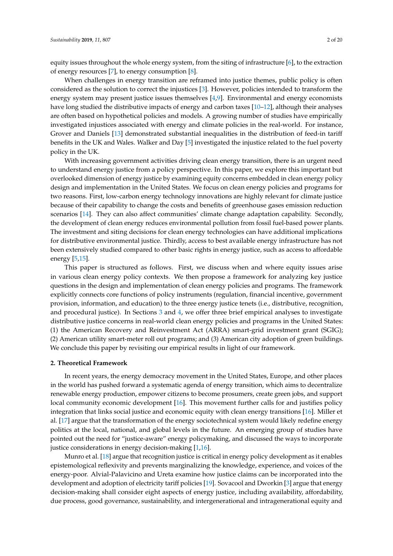equity issues throughout the whole energy system, from the siting of infrastructure [\[6\]](#page-17-1), to the extraction of energy resources [\[7\]](#page-17-2), to energy consumption [\[8\]](#page-17-3).

When challenges in energy transition are reframed into justice themes, public policy is often considered as the solution to correct the injustices [\[3\]](#page-16-2). However, policies intended to transform the energy system may present justice issues themselves [\[4](#page-16-3)[,9\]](#page-17-4). Environmental and energy economists have long studied the distributive impacts of energy and carbon taxes [\[10](#page-17-5)[–12\]](#page-17-6), although their analyses are often based on hypothetical policies and models. A growing number of studies have empirically investigated injustices associated with energy and climate policies in the real-world. For instance, Grover and Daniels [\[13\]](#page-17-7) demonstrated substantial inequalities in the distribution of feed-in tariff benefits in the UK and Wales. Walker and Day [\[5\]](#page-17-0) investigated the injustice related to the fuel poverty policy in the UK.

With increasing government activities driving clean energy transition, there is an urgent need to understand energy justice from a policy perspective. In this paper, we explore this important but overlooked dimension of energy justice by examining equity concerns embedded in clean energy policy design and implementation in the United States. We focus on clean energy policies and programs for two reasons. First, low-carbon energy technology innovations are highly relevant for climate justice because of their capability to change the costs and benefits of greenhouse gases emission reduction scenarios [\[14\]](#page-17-8). They can also affect communities' climate change adaptation capability. Secondly, the development of clean energy reduces environmental pollution from fossil fuel-based power plants. The investment and siting decisions for clean energy technologies can have additional implications for distributive environmental justice. Thirdly, access to best available energy infrastructure has not been extensively studied compared to other basic rights in energy justice, such as access to affordable energy [\[5](#page-17-0)[,15\]](#page-17-9).

This paper is structured as follows. First, we discuss when and where equity issues arise in various clean energy policy contexts. We then propose a framework for analyzing key justice questions in the design and implementation of clean energy policies and programs. The framework explicitly connects core functions of policy instruments (regulation, financial incentive, government provision, information, and education) to the three energy justice tenets (i.e., distributive, recognition, and procedural justice). In Sections [3](#page-6-0) and [4,](#page-12-0) we offer three brief empirical analyses to investigate distributive justice concerns in real-world clean energy policies and programs in the United States: (1) the American Recovery and Reinvestment Act (ARRA) smart-grid investment grant (SGIG); (2) American utility smart-meter roll out programs; and (3) American city adoption of green buildings. We conclude this paper by revisiting our empirical results in light of our framework.

# <span id="page-2-0"></span>**2. Theoretical Framework**

In recent years, the energy democracy movement in the United States, Europe, and other places in the world has pushed forward a systematic agenda of energy transition, which aims to decentralize renewable energy production, empower citizens to become prosumers, create green jobs, and support local community economic development [\[16\]](#page-17-10). This movement further calls for and justifies policy integration that links social justice and economic equity with clean energy transitions [\[16\]](#page-17-10). Miller et al. [\[17\]](#page-17-11) argue that the transformation of the energy sociotechnical system would likely redefine energy politics at the local, national, and global levels in the future. An emerging group of studies have pointed out the need for "justice-aware" energy policymaking, and discussed the ways to incorporate justice considerations in energy decision-making [\[1,](#page-16-0)[16\]](#page-17-10).

Munro et al. [\[18\]](#page-17-12) argue that recognition justice is critical in energy policy development as it enables epistemological reflexivity and prevents marginalizing the knowledge, experience, and voices of the energy-poor. Alvial-Palavicino and Ureta examine how justice claims can be incorporated into the development and adoption of electricity tariff policies [\[19\]](#page-17-13). Sovacool and Dworkin [\[3\]](#page-16-2) argue that energy decision-making shall consider eight aspects of energy justice, including availability, affordability, due process, good governance, sustainability, and intergenerational and intragenerational equity and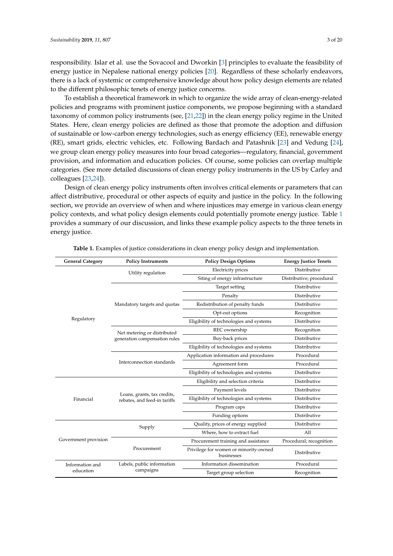responsibility. Islar et al. use the Sovacool and Dworkin [\[3\]](#page-16-2) principles to evaluate the feasibility of energy justice in Nepalese national energy policies [\[20\]](#page-17-14). Regardless of these scholarly endeavors, there is a lack of systemic or comprehensive knowledge about how policy design elements are related to the different philosophic tenets of energy justice concerns.

To establish a theoretical framework in which to organize the wide array of clean-energy-related policies and programs with prominent justice components, we propose beginning with a standard taxonomy of common policy instruments (see, [\[21,](#page-17-15)[22\]](#page-17-16)) in the clean energy policy regime in the United States. Here, clean energy policies are defined as those that promote the adoption and diffusion of sustainable or low-carbon energy technologies, such as energy efficiency (EE), renewable energy (RE), smart grids, electric vehicles, etc. Following Bardach and Patashnik [\[23\]](#page-17-17) and Vedung [\[24\]](#page-17-18), we group clean energy policy measures into four broad categories—regulatory, financial, government provision, and information and education policies. Of course, some policies can overlap multiple categories. (See more detailed discussions of clean energy policy instruments in the US by Carley and colleagues [\[23](#page-17-17)[,24\]](#page-17-18)).

Design of clean energy policy instruments often involves critical elements or parameters that can affect distributive, procedural or other aspects of equity and justice in the policy. In the following section, we provide an overview of when and where injustices may emerge in various clean energy policy contexts, and what policy design elements could potentially promote energy justice. Table [1](#page-3-0) provides a summary of our discussion, and links these example policy aspects to the three tenets in energy justice.

<span id="page-3-0"></span>

| <b>General Category</b> | <b>Policy Instruments</b>     | <b>Policy Design Options</b>                                                                                                                                                                                                                                                                                                                                                                                                                                                                                                                     | <b>Energy Justice Tenets</b> |
|-------------------------|-------------------------------|--------------------------------------------------------------------------------------------------------------------------------------------------------------------------------------------------------------------------------------------------------------------------------------------------------------------------------------------------------------------------------------------------------------------------------------------------------------------------------------------------------------------------------------------------|------------------------------|
|                         |                               | Electricity prices                                                                                                                                                                                                                                                                                                                                                                                                                                                                                                                               | Distributive                 |
| Regulatory<br>Financial |                               | Siting of energy infrastructure                                                                                                                                                                                                                                                                                                                                                                                                                                                                                                                  | Distributive; procedural     |
|                         |                               | Target setting                                                                                                                                                                                                                                                                                                                                                                                                                                                                                                                                   | Distributive                 |
|                         |                               | Penalty                                                                                                                                                                                                                                                                                                                                                                                                                                                                                                                                          | Distributive                 |
|                         | Mandatory targets and quotas  | Redistribution of penalty funds                                                                                                                                                                                                                                                                                                                                                                                                                                                                                                                  | Distributive                 |
|                         |                               | Opt-out options                                                                                                                                                                                                                                                                                                                                                                                                                                                                                                                                  | Recognition                  |
|                         |                               | Eligibility of technologies and systems                                                                                                                                                                                                                                                                                                                                                                                                                                                                                                          | Distributive                 |
|                         | Net metering or distributed   | REC ownership                                                                                                                                                                                                                                                                                                                                                                                                                                                                                                                                    | Recognition                  |
|                         | generation compensation rules | Buy-back prices                                                                                                                                                                                                                                                                                                                                                                                                                                                                                                                                  | Distributive                 |
|                         |                               | Eligibility of technologies and systems                                                                                                                                                                                                                                                                                                                                                                                                                                                                                                          | Distributive                 |
|                         |                               | Application information and procedures                                                                                                                                                                                                                                                                                                                                                                                                                                                                                                           | Procedural                   |
|                         | Interconnection standards     | Agreement form                                                                                                                                                                                                                                                                                                                                                                                                                                                                                                                                   | Procedural                   |
|                         |                               | Eligibility of technologies and systems                                                                                                                                                                                                                                                                                                                                                                                                                                                                                                          | Distributive                 |
|                         |                               | Eligibility and selection criteria                                                                                                                                                                                                                                                                                                                                                                                                                                                                                                               | Distributive                 |
|                         |                               | Utility regulation<br>Distributive<br>Payment levels<br>Eligibility of technologies and systems<br>Distributive<br>Distributive<br>Program caps<br>Distributive<br>Funding options<br>Distributive<br>Quality, prices of energy supplied<br>Supply<br>Where, how to extract fuel<br>All<br>Procedural; recognition<br>Procurement training and assistance<br>Procurement<br>Privilege for women or minority-owned<br>Distributive<br>businesses<br>Procedural<br>Information dissemination<br>campaigns<br>Recognition<br>Target group selection |                              |
|                         | rebates, and feed-in tariffs  |                                                                                                                                                                                                                                                                                                                                                                                                                                                                                                                                                  |                              |
|                         |                               |                                                                                                                                                                                                                                                                                                                                                                                                                                                                                                                                                  |                              |
|                         |                               |                                                                                                                                                                                                                                                                                                                                                                                                                                                                                                                                                  |                              |
|                         |                               | Loans, grants, tax credits,                                                                                                                                                                                                                                                                                                                                                                                                                                                                                                                      |                              |
|                         |                               |                                                                                                                                                                                                                                                                                                                                                                                                                                                                                                                                                  |                              |
| Government provision    |                               |                                                                                                                                                                                                                                                                                                                                                                                                                                                                                                                                                  |                              |
|                         |                               |                                                                                                                                                                                                                                                                                                                                                                                                                                                                                                                                                  |                              |
| Information and         | Labels, public information    |                                                                                                                                                                                                                                                                                                                                                                                                                                                                                                                                                  |                              |
| education               |                               |                                                                                                                                                                                                                                                                                                                                                                                                                                                                                                                                                  |                              |

**Table 1.** Examples of justice considerations in clean energy policy design and implementation.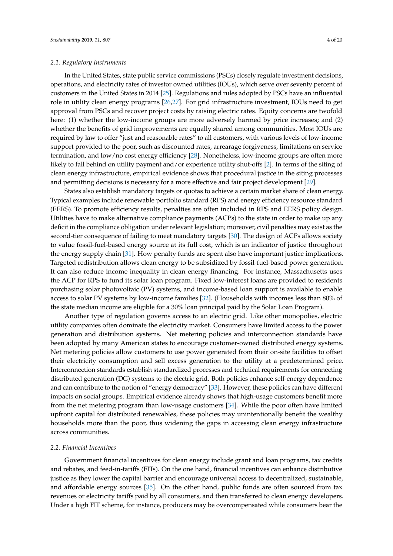In the United States, state public service commissions (PSCs) closely regulate investment decisions, operations, and electricity rates of investor owned utilities (IOUs), which serve over seventy percent of customers in the United States in 2014 [\[25\]](#page-17-19). Regulations and rules adopted by PSCs have an influential role in utility clean energy programs [\[26,](#page-17-20)[27\]](#page-17-21). For grid infrastructure investment, IOUs need to get approval from PSCs and recover project costs by raising electric rates. Equity concerns are twofold here: (1) whether the low-income groups are more adversely harmed by price increases; and (2) whether the benefits of grid improvements are equally shared among communities. Most IOUs are required by law to offer "just and reasonable rates" to all customers, with various levels of low-income support provided to the poor, such as discounted rates, arrearage forgiveness, limitations on service termination, and low/no cost energy efficiency [\[28\]](#page-17-22). Nonetheless, low-income groups are often more likely to fall behind on utility payment and/or experience utility shut-offs [\[2\]](#page-16-1). In terms of the siting of clean energy infrastructure, empirical evidence shows that procedural justice in the siting processes and permitting decisions is necessary for a more effective and fair project development [\[29\]](#page-18-0).

States also establish mandatory targets or quotas to achieve a certain market share of clean energy. Typical examples include renewable portfolio standard (RPS) and energy efficiency resource standard (EERS). To promote efficiency results, penalties are often included in RPS and EERS policy design. Utilities have to make alternative compliance payments (ACPs) to the state in order to make up any deficit in the compliance obligation under relevant legislation; moreover, civil penalties may exist as the second-tier consequence of failing to meet mandatory targets [\[30\]](#page-18-1). The design of ACPs allows society to value fossil-fuel-based energy source at its full cost, which is an indicator of justice throughout the energy supply chain [\[31\]](#page-18-2). How penalty funds are spent also have important justice implications. Targeted redistribution allows clean energy to be subsidized by fossil-fuel-based power generation. It can also reduce income inequality in clean energy financing. For instance, Massachusetts uses the ACP for RPS to fund its solar loan program. Fixed low-interest loans are provided to residents purchasing solar photovoltaic (PV) systems, and income-based loan support is available to enable access to solar PV systems by low-income families [\[32\]](#page-18-3). (Households with incomes less than 80% of the state median income are eligible for a 30% loan principal paid by the Solar Loan Program).

Another type of regulation governs access to an electric grid. Like other monopolies, electric utility companies often dominate the electricity market. Consumers have limited access to the power generation and distribution systems. Net metering policies and interconnection standards have been adopted by many American states to encourage customer-owned distributed energy systems. Net metering policies allow customers to use power generated from their on-site facilities to offset their electricity consumption and sell excess generation to the utility at a predetermined price. Interconnection standards establish standardized processes and technical requirements for connecting distributed generation (DG) systems to the electric grid. Both policies enhance self-energy dependence and can contribute to the notion of "energy democracy" [\[33\]](#page-18-4). However, these policies can have different impacts on social groups. Empirical evidence already shows that high-usage customers benefit more from the net metering program than low-usage customers [\[34\]](#page-18-5). While the poor often have limited upfront capital for distributed renewables, these policies may unintentionally benefit the wealthy households more than the poor, thus widening the gaps in accessing clean energy infrastructure across communities.

### *2.2. Financial Incentives*

Government financial incentives for clean energy include grant and loan programs, tax credits and rebates, and feed-in-tariffs (FITs). On the one hand, financial incentives can enhance distributive justice as they lower the capital barrier and encourage universal access to decentralized, sustainable, and affordable energy sources [\[35\]](#page-18-6). On the other hand, public funds are often sourced from tax revenues or electricity tariffs paid by all consumers, and then transferred to clean energy developers. Under a high FIT scheme, for instance, producers may be overcompensated while consumers bear the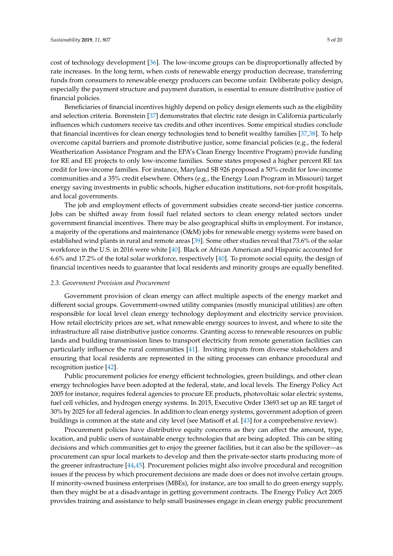cost of technology development [\[36\]](#page-18-7). The low-income groups can be disproportionally affected by rate increases. In the long term, when costs of renewable energy production decrease, transferring funds from consumers to renewable energy producers can become unfair. Deliberate policy design, especially the payment structure and payment duration, is essential to ensure distributive justice of financial policies.

Beneficiaries of financial incentives highly depend on policy design elements such as the eligibility and selection criteria. Borenstein [\[37\]](#page-18-8) demonstrates that electric rate design in California particularly influences which customers receive tax credits and other incentives. Some empirical studies conclude that financial incentives for clean energy technologies tend to benefit wealthy families [\[37,](#page-18-8)[38\]](#page-18-9). To help overcome capital barriers and promote distributive justice, some financial policies (e.g., the federal Weatherization Assistance Program and the EPA's Clean Energy Incentive Program) provide funding for RE and EE projects to only low-income families. Some states proposed a higher percent RE tax credit for low-income families. For instance, Maryland SB 926 proposed a 50% credit for low-income communities and a 35% credit elsewhere. Others (e.g., the Energy Loan Program in Missouri) target energy saving investments in public schools, higher education institutions, not-for-profit hospitals, and local governments.

The job and employment effects of government subsidies create second-tier justice concerns. Jobs can be shifted away from fossil fuel related sectors to clean energy related sectors under government financial incentives. There may be also geographical shifts in employment. For instance, a majority of the operations and maintenance (O&M) jobs for renewable energy systems were based on established wind plants in rural and remote areas [\[39\]](#page-18-10). Some other studies reveal that 73.6% of the solar workforce in the U.S. in 2016 were white [\[40\]](#page-18-11). Black or African American and Hispanic accounted for 6.6% and 17.2% of the total solar workforce, respectively [\[40\]](#page-18-11). To promote social equity, the design of financial incentives needs to guarantee that local residents and minority groups are equally benefited.

### *2.3. Government Provision and Procurement*

Government provision of clean energy can affect multiple aspects of the energy market and different social groups. Government-owned utility companies (mostly municipal utilities) are often responsible for local level clean energy technology deployment and electricity service provision. How retail electricity prices are set, what renewable energy sources to invest, and where to site the infrastructure all raise distributive justice concerns. Granting access to renewable resources on public lands and building transmission lines to transport electricity from remote generation facilities can particularly influence the rural communities [\[41\]](#page-18-12). Inviting inputs from diverse stakeholders and ensuring that local residents are represented in the siting processes can enhance procedural and recognition justice [\[42\]](#page-18-13).

Public procurement policies for energy efficient technologies, green buildings, and other clean energy technologies have been adopted at the federal, state, and local levels. The Energy Policy Act 2005 for instance, requires federal agencies to procure EE products, photovoltaic solar electric systems, fuel cell vehicles, and hydrogen energy systems. In 2015, Executive Order 13693 set up an RE target of 30% by 2025 for all federal agencies. In addition to clean energy systems, government adoption of green buildings is common at the state and city level (see Matisoff et al. [\[43\]](#page-18-14) for a comprehensive review).

Procurement policies have distributive equity concerns as they can affect the amount, type, location, and public users of sustainable energy technologies that are being adopted. This can be siting decisions and which communities get to enjoy the greener facilities, but it can also be the spillover—as procurement can spur local markets to develop and then the private-sector starts producing more of the greener infrastructure [\[44](#page-18-15)[,45\]](#page-18-16). Procurement policies might also involve procedural and recognition issues if the process by which procurement decisions are made does or does not involve certain groups. If minority-owned business enterprises (MBEs), for instance, are too small to do green energy supply, then they might be at a disadvantage in getting government contracts. The Energy Policy Act 2005 provides training and assistance to help small businesses engage in clean energy public procurement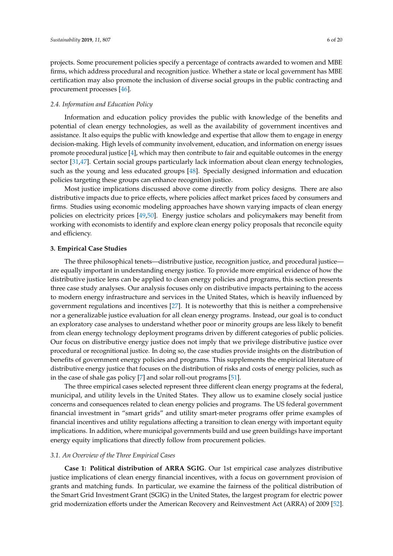projects. Some procurement policies specify a percentage of contracts awarded to women and MBE firms, which address procedural and recognition justice. Whether a state or local government has MBE certification may also promote the inclusion of diverse social groups in the public contracting and procurement processes [\[46\]](#page-18-17).

# *2.4. Information and Education Policy*

Information and education policy provides the public with knowledge of the benefits and potential of clean energy technologies, as well as the availability of government incentives and assistance. It also equips the public with knowledge and expertise that allow them to engage in energy decision-making. High levels of community involvement, education, and information on energy issues promote procedural justice [\[4\]](#page-16-3), which may then contribute to fair and equitable outcomes in the energy sector [\[31,](#page-18-2)[47\]](#page-18-18). Certain social groups particularly lack information about clean energy technologies, such as the young and less educated groups [\[48\]](#page-18-19). Specially designed information and education policies targeting these groups can enhance recognition justice.

Most justice implications discussed above come directly from policy designs. There are also distributive impacts due to price effects, where policies affect market prices faced by consumers and firms. Studies using economic modeling approaches have shown varying impacts of clean energy policies on electricity prices [\[49,](#page-18-20)[50\]](#page-18-21). Energy justice scholars and policymakers may benefit from working with economists to identify and explore clean energy policy proposals that reconcile equity and efficiency.

# <span id="page-6-0"></span>**3. Empirical Case Studies**

The three philosophical tenets—distributive justice, recognition justice, and procedural justice are equally important in understanding energy justice. To provide more empirical evidence of how the distributive justice lens can be applied to clean energy policies and programs, this section presents three case study analyses. Our analysis focuses only on distributive impacts pertaining to the access to modern energy infrastructure and services in the United States, which is heavily influenced by government regulations and incentives [\[27\]](#page-17-21). It is noteworthy that this is neither a comprehensive nor a generalizable justice evaluation for all clean energy programs. Instead, our goal is to conduct an exploratory case analyses to understand whether poor or minority groups are less likely to benefit from clean energy technology deployment programs driven by different categories of public policies. Our focus on distributive energy justice does not imply that we privilege distributive justice over procedural or recognitional justice. In doing so, the case studies provide insights on the distribution of benefits of government energy policies and programs. This supplements the empirical literature of distributive energy justice that focuses on the distribution of risks and costs of energy policies, such as in the case of shale gas policy [\[7\]](#page-17-2) and solar roll-out programs [\[51\]](#page-18-22).

The three empirical cases selected represent three different clean energy programs at the federal, municipal, and utility levels in the United States. They allow us to examine closely social justice concerns and consequences related to clean energy policies and programs. The US federal government financial investment in "smart grids" and utility smart-meter programs offer prime examples of financial incentives and utility regulations affecting a transition to clean energy with important equity implications. In addition, where municipal governments build and use green buildings have important energy equity implications that directly follow from procurement policies.

### *3.1. An Overview of the Three Empirical Cases*

**Case 1: Political distribution of ARRA SGIG**. Our 1st empirical case analyzes distributive justice implications of clean energy financial incentives, with a focus on government provision of grants and matching funds. In particular, we examine the fairness of the political distribution of the Smart Grid Investment Grant (SGIG) in the United States, the largest program for electric power grid modernization efforts under the American Recovery and Reinvestment Act (ARRA) of 2009 [\[52\]](#page-18-23).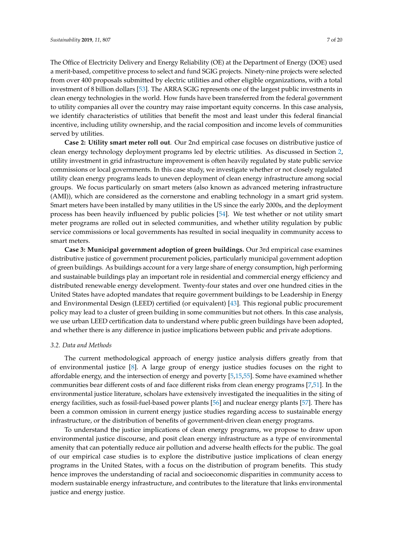The Office of Electricity Delivery and Energy Reliability (OE) at the Department of Energy (DOE) used a merit-based, competitive process to select and fund SGIG projects. Ninety-nine projects were selected from over 400 proposals submitted by electric utilities and other eligible organizations, with a total investment of 8 billion dollars [\[53\]](#page-18-24). The ARRA SGIG represents one of the largest public investments in clean energy technologies in the world. How funds have been transferred from the federal government to utility companies all over the country may raise important equity concerns. In this case analysis, we identify characteristics of utilities that benefit the most and least under this federal financial incentive, including utility ownership, and the racial composition and income levels of communities served by utilities.

**Case 2: Utility smart meter roll out**. Our 2nd empirical case focuses on distributive justice of clean energy technology deployment programs led by electric utilities. As discussed in Section [2,](#page-2-0) utility investment in grid infrastructure improvement is often heavily regulated by state public service commissions or local governments. In this case study, we investigate whether or not closely regulated utility clean energy programs leads to uneven deployment of clean energy infrastructure among social groups. We focus particularly on smart meters (also known as advanced metering infrastructure (AMI)), which are considered as the cornerstone and enabling technology in a smart grid system. Smart meters have been installed by many utilities in the US since the early 2000s, and the deployment process has been heavily influenced by public policies [\[54\]](#page-18-25). We test whether or not utility smart meter programs are rolled out in selected communities, and whether utility regulation by public service commissions or local governments has resulted in social inequality in community access to smart meters.

**Case 3: Municipal government adoption of green buildings.** Our 3rd empirical case examines distributive justice of government procurement policies, particularly municipal government adoption of green buildings. As buildings account for a very large share of energy consumption, high performing and sustainable buildings play an important role in residential and commercial energy efficiency and distributed renewable energy development. Twenty-four states and over one hundred cities in the United States have adopted mandates that require government buildings to be Leadership in Energy and Environmental Design (LEED) certified (or equivalent) [\[43\]](#page-18-14). This regional public procurement policy may lead to a cluster of green building in some communities but not others. In this case analysis, we use urban LEED certification data to understand where public green buildings have been adopted, and whether there is any difference in justice implications between public and private adoptions.

### *3.2. Data and Methods*

The current methodological approach of energy justice analysis differs greatly from that of environmental justice [\[8\]](#page-17-3). A large group of energy justice studies focuses on the right to affordable energy, and the intersection of energy and poverty [\[5,](#page-17-0)[15,](#page-17-9)[55\]](#page-19-0). Some have examined whether communities bear different costs of and face different risks from clean energy programs [\[7](#page-17-2)[,51\]](#page-18-22). In the environmental justice literature, scholars have extensively investigated the inequalities in the siting of energy facilities, such as fossil-fuel-based power plants [\[56\]](#page-19-1) and nuclear energy plants [\[57\]](#page-19-2). There has been a common omission in current energy justice studies regarding access to sustainable energy infrastructure, or the distribution of benefits of government-driven clean energy programs.

To understand the justice implications of clean energy programs, we propose to draw upon environmental justice discourse, and posit clean energy infrastructure as a type of environmental amenity that can potentially reduce air pollution and adverse health effects for the public. The goal of our empirical case studies is to explore the distributive justice implications of clean energy programs in the United States, with a focus on the distribution of program benefits. This study hence improves the understanding of racial and socioeconomic disparities in community access to modern sustainable energy infrastructure, and contributes to the literature that links environmental justice and energy justice.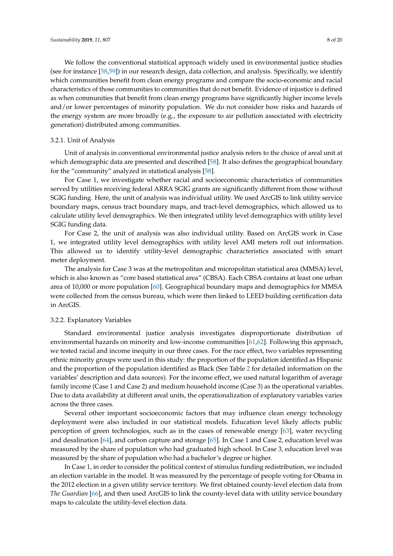We follow the conventional statistical approach widely used in environmental justice studies (see for instance [\[58,](#page-19-3)[59\]](#page-19-4)) in our research design, data collection, and analysis. Specifically, we identify which communities benefit from clean energy programs and compare the socio-economic and racial characteristics of those communities to communities that do not benefit. Evidence of injustice is defined as when communities that benefit from clean energy programs have significantly higher income levels and/or lower percentages of minority population. We do not consider how risks and hazards of the energy system are more broadly (e.g., the exposure to air pollution associated with electricity generation) distributed among communities.

# 3.2.1. Unit of Analysis

Unit of analysis in conventional environmental justice analysis refers to the choice of areal unit at which demographic data are presented and described [\[58\]](#page-19-3). It also defines the geographical boundary for the "community" analyzed in statistical analysis [\[58\]](#page-19-3).

For Case 1, we investigate whether racial and socioeconomic characteristics of communities served by utilities receiving federal ARRA SGIG grants are significantly different from those without SGIG funding. Here, the unit of analysis was individual utility. We used ArcGIS to link utility service boundary maps, census tract boundary maps, and tract-level demographics, which allowed us to calculate utility level demographics. We then integrated utility level demographics with utility level SGIG funding data.

For Case 2, the unit of analysis was also individual utility. Based on ArcGIS work in Case 1, we integrated utility level demographics with utility level AMI meters roll out information. This allowed us to identify utility-level demographic characteristics associated with smart meter deployment.

The analysis for Case 3 was at the metropolitan and micropolitan statistical area (MMSA) level, which is also known as "core based statistical area" (CBSA). Each CBSA contains at least one urban area of 10,000 or more population [\[60\]](#page-19-5). Geographical boundary maps and demographics for MMSA were collected from the census bureau, which were then linked to LEED building certification data in ArcGIS.

# 3.2.2. Explanatory Variables

Standard environmental justice analysis investigates disproportionate distribution of environmental hazards on minority and low-income communities [\[61,](#page-19-6)[62\]](#page-19-7). Following this approach, we tested racial and income inequity in our three cases. For the race effect, two variables representing ethnic minority groups were used in this study: the proportion of the population identified as Hispanic and the proportion of the population identified as Black (See Table [2](#page-9-0) for detailed information on the variables' description and data sources). For the income effect, we used natural logarithm of average family income (Case 1 and Case 2) and medium household income (Case 3) as the operational variables. Due to data availability at different areal units, the operationalization of explanatory variables varies across the three cases.

Several other important socioeconomic factors that may influence clean energy technology deployment were also included in our statistical models. Education level likely affects public perception of green technologies, such as in the cases of renewable energy [\[63\]](#page-19-8), water recycling and desalination [\[64\]](#page-19-9), and carbon capture and storage [\[65\]](#page-19-10). In Case 1 and Case 2, education level was measured by the share of population who had graduated high school. In Case 3, education level was measured by the share of population who had a bachelor's degree or higher.

In Case 1, in order to consider the political context of stimulus funding redistribution, we included an election variable in the model. It was measured by the percentage of people voting for Obama in the 2012 election in a given utility service territory. We first obtained county-level election data from *The Guardian* [\[66\]](#page-19-11), and then used ArcGIS to link the county-level data with utility service boundary maps to calculate the utility-level election data.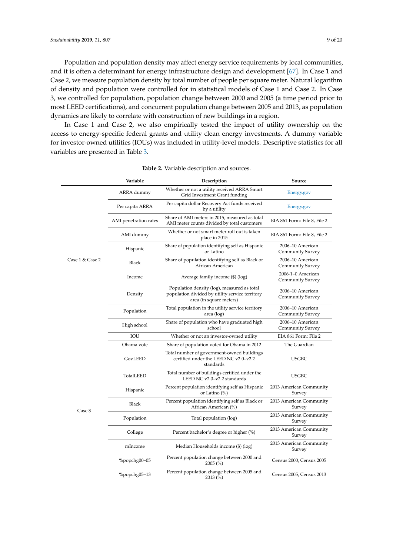Population and population density may affect energy service requirements by local communities, and it is often a determinant for energy infrastructure design and development [\[67\]](#page-19-12). In Case 1 and Case 2, we measure population density by total number of people per square meter. Natural logarithm of density and population were controlled for in statistical models of Case 1 and Case 2. In Case 3, we controlled for population, population change between 2000 and 2005 (a time period prior to most LEED certifications), and concurrent population change between 2005 and 2013, as population dynamics are likely to correlate with construction of new buildings in a region.

In Case 1 and Case 2, we also empirically tested the impact of utility ownership on the access to energy-specific federal grants and utility clean energy investments. A dummy variable for investor-owned utilities (IOUs) was included in utility-level models. Descriptive statistics for all variables are presented in Table [3.](#page-10-0)

<span id="page-9-0"></span>

|                 | Variable              | Description                                                                                                               | Source                                |  |
|-----------------|-----------------------|---------------------------------------------------------------------------------------------------------------------------|---------------------------------------|--|
|                 | ARRA dummy            | Whether or not a utility received ARRA Smart<br>Grid Investment Grant funding                                             | Energy.gov                            |  |
|                 | Per capita ARRA       | Per capita dollar Recovery Act funds received<br>by a utility                                                             | Energy.gov                            |  |
|                 | AMI penetration rates | Share of AMI meters in 2015, measured as total<br>AMI meter counts divided by total customers                             | EIA 861 Form: File 8, File 2          |  |
|                 | AMI dummy             | Whether or not smart meter roll out is taken<br>place in 2015                                                             | EIA 861 Form: File 8, File 2          |  |
|                 | Hispanic              | Share of population identifying self as Hispanic<br>or Latino                                                             | 2006-10 American<br>Community Survey  |  |
| Case 1 & Case 2 | Black                 | Share of population identifying self as Black or<br>African American                                                      | 2006-10 American<br>Community Survey  |  |
|                 | Income                | Average family income (\$) (log)                                                                                          | 2006-1-0 American<br>Community Survey |  |
|                 | Density               | Population density (log), measured as total<br>population divided by utility service territory<br>area (in square meters) | 2006-10 American<br>Community Survey  |  |
|                 | Population            | Total population in the utility service territory<br>area $(log)$                                                         | 2006–10 American<br>Community Survey  |  |
|                 | High school           | Share of population who have graduated high<br>school                                                                     | 2006-10 American<br>Community Survey  |  |
|                 | IOU                   | Whether or not an investor-owned utility                                                                                  | EIA 861 Form: File 2                  |  |
|                 | Obama vote            | Share of population voted for Obama in 2012                                                                               | The Guardian                          |  |
|                 | GovLEED               | Total number of government-owned buildings<br>certified under the LEED NC v2.0-v2.2<br>standards                          | <b>USGBC</b>                          |  |
|                 | TotalLEED             | Total number of buildings certified under the<br>LEED NC v2.0-v2.2 standards                                              | <b>USGBC</b>                          |  |
|                 | Hispanic              | Percent population identifying self as Hispanic<br>or Latino $(\%)$                                                       | 2013 American Community<br>Survey     |  |
| Case 3          | Black                 | Percent population identifying self as Black or<br>African American (%)                                                   | 2013 American Community<br>Survey     |  |
|                 | Population            | Total population (log)                                                                                                    | 2013 American Community<br>Survey     |  |
|                 | College               | Percent bachelor's degree or higher (%)                                                                                   | 2013 American Community<br>Survey     |  |
|                 | mIncome               | Median Households income (\$) (log)                                                                                       | 2013 American Community<br>Survey     |  |
|                 | %popchg00-05          | Percent population change between 2000 and<br>$2005$ (%)                                                                  | Census 2000, Census 2005              |  |
|                 | %popchg05-13          | Percent population change between 2005 and<br>$2013\,(%)$                                                                 | Census 2005, Census 2013              |  |

**Table 2.** Variable description and sources.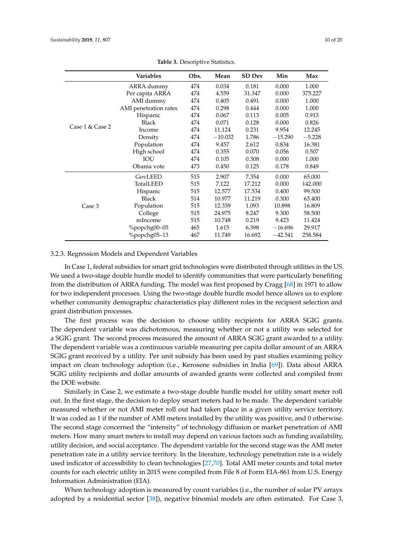<span id="page-10-0"></span>

|                 | Variables             | Obs. | Mean      | <b>SD</b> Dev | Min       | Max      |
|-----------------|-----------------------|------|-----------|---------------|-----------|----------|
| Case 1 & Case 2 | ARRA dummy            | 474  | 0.034     | 0.181         | 0.000     | 1.000    |
|                 | Per capita ARRA       | 474  | 4.559     | 31.347        | 0.000     | 375.227  |
|                 | AMI dummy             | 474  | 0.405     | 0.491         | 0.000     | 1.000    |
|                 | AMI penetration rates | 474  | 0.298     | 0.444         | 0.000     | 1.000    |
|                 | Hispanic              | 474  | 0.067     | 0.113         | 0.005     | 0.913    |
|                 | <b>Black</b>          | 474  | 0.071     | 0.128         | 0.000     | 0.826    |
|                 | Income                | 474  | 11.124    | 0.231         | 9.954     | 12.245   |
|                 | Density               | 474  | $-10.032$ | 1.786         | $-15.290$ | $-5.228$ |
|                 | Population            | 474  | 9.457     | 2.612         | 0.834     | 16.381   |
|                 | High school           | 474  | 0.355     | 0.070         | 0.056     | 0.507    |
|                 | IOU                   | 474  | 0.105     | 0.308         | 0.000     | 1.000    |
|                 | Obama vote            | 473  | 0.450     | 0.125         | 0.178     | 0.849    |
|                 | GovLEED               | 515  | 2.907     | 7.354         | 0.000     | 65.000   |
|                 | TotalLEED             | 515  | 7.122     | 17.212        | 0.000     | 142.000  |
|                 | Hispanic              | 515  | 12.577    | 17.534        | 0.400     | 99.500   |
|                 | <b>Black</b>          | 514  | 10.977    | 11.219        | 0.300     | 63.400   |
| Case 3          | Population            | 515  | 12.339    | 1.093         | 10.898    | 16.809   |
|                 | College               | 515  | 24.975    | 8.247         | 9.300     | 58.500   |
|                 | mIncome               | 515  | 10.748    | 0.219         | 9.423     | 11.424   |
|                 | %popchg00-05          | 465  | 1.615     | 6.398         | $-16.696$ | 29.917   |
|                 | %popchg05-13          | 467  | 11.749    | 16.692        | $-42.541$ | 258.584  |

**Table 3.** Descriptive Statistics.

# 3.2.3. Regression Models and Dependent Variables

In Case 1, federal subsidies for smart grid technologies were distributed through utilities in the US. We used a two-stage double hurdle model to identify communities that were particularly benefiting from the distribution of ARRA funding. The model was first proposed by Cragg [\[68\]](#page-19-13) in 1971 to allow for two independent processes. Using the two-stage double hurdle model hence allows us to explore whether community demographic characteristics play different roles in the recipient selection and grant distribution processes.

The first process was the decision to choose utility recipients for ARRA SGIG grants. The dependent variable was dichotomous, measuring whether or not a utility was selected for a SGIG grant. The second process measured the amount of ARRA SGIG grant awarded to a utility. The dependent variable was a continuous variable measuring per capita dollar amount of an ARRA SGIG grant received by a utility. Per unit subsidy has been used by past studies examining policy impact on clean technology adoption (i.e., Kerosene subsidies in India [\[69\]](#page-19-14)). Data about ARRA SGIG utility recipients and dollar amounts of awarded grants were collected and compiled from the DOE website.

Similarly in Case 2, we estimate a two-stage double hurdle model for utility smart meter roll out. In the first stage, the decision to deploy smart meters had to be made. The dependent variable measured whether or not AMI meter roll out had taken place in a given utility service territory. It was coded as 1 if the number of AMI meters installed by the utility was positive, and 0 otherwise. The second stage concerned the "intensity" of technology diffusion or market penetration of AMI meters. How many smart meters to install may depend on various factors such as funding availability, utility decision, and social acceptance. The dependent variable for the second stage was the AMI meter penetration rate in a utility service territory. In the literature, technology penetration rate is a widely used indicator of accessibility to clean technologies [\[27](#page-17-21)[,70\]](#page-19-15). Total AMI meter counts and total meter counts for each electric utility in 2015 were compiled from File 8 of Form EIA-861 from U.S. Energy Information Administration (EIA).

When technology adoption is measured by count variables (i.e., the number of solar PV arrays adopted by a residential sector [\[38\]](#page-18-9)), negative binomial models are often estimated. For Case 3,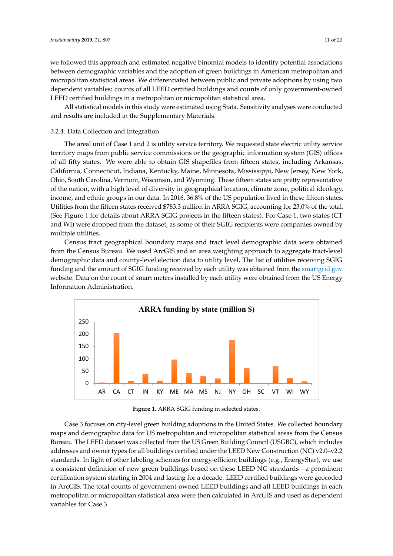we followed this approach and estimated negative binomial models to identify potential associations between demographic variables and the adoption of green buildings in American metropolitan and micropolitan statistical areas. We differentiated between public and private adoptions by using two dependent variables: counts of all LEED certified buildings and counts of only government-owned LEED certified buildings in a metropolitan or micropolitan statistical area.

All statistical models in this study were estimated using Stata. Sensitivity analyses were conducted and results are included in the Supplementary Materials.

# 3.2.4. Data Collection and Integration

The areal unit of Case 1 and 2 is utility service territory. We requested state electric utility service territory maps from public service commissions or the geographic information system (GIS) offices of all fifty states. We were able to obtain GIS shapefiles from fifteen states, including Arkansas, California, Connecticut, Indiana, Kentucky, Maine, Minnesota, Mississippi, New Jersey, New York, Ohio, South Carolina, Vermont, Wisconsin, and Wyoming. These fifteen states are pretty representative of the nation, with a high level of diversity in geographical location, climate zone, political ideology, income, and ethnic groups in our data. In 2016, 36.8% of the US population lived in these fifteen states. Utilities from the fifteen states received \$783.3 million in ARRA SGIG, accounting for 23.0% of the total. (See Figure [1](#page-11-0) for details about ARRA SGIG projects in the fifteen states). For Case 1, two states (CT and WI) were dropped from the dataset, as some of their SGIG recipients were companies owned by multiple utilities.

Census tract geographical boundary maps and tract level demographic data were obtained from the Census Bureau. We used ArcGIS and an area weighting approach to aggregate tract-level demographic data and county-level election data to utility level. The list of utilities receiving SGIG *Sustainability* **2019**, *11*, x FOR PEER REVIEW 11 of 19 funding and the amount of SGIG funding received by each utility was obtained from the <smartgrid.gov> website. Data on the count of smart meters installed by each utility were obtained from the US Energy Information Administration.

<span id="page-11-0"></span>

**Figure 1.** ARRA SGIG funding in selected states. **Figure 1.** ARRA SGIG funding in selected states.

Case 3 focuses on city-level green building adoptions in the United States. We collected Case 3 focuses on city-level green building adoptions in the United States. We collected boundary maps and demographic data for US metropolitan and micropolitan statistical areas from the Census Bureau. The LEED dataset was collected from the US Green Building Council (USGBC), which includes addresses and owner types for all buildings certified under the LEED New Construction (NC) v2.0–v2.2 standards. In light of other labeling schemes for energy-efficient buildings (e.g., EnergyStar), we use a consistent definition of new green buildings based on these LEED NC standards—a prominent certification system starting in 2004 and lasting for a decade. LEED certified buildings were geocoded in ArcGIS. The total counts of government-owned LEED buildings and all LEED buildings in each metropolitan or micropolitan statistical area were then calculated in ArcGIS and used as dependent variables for Case 3.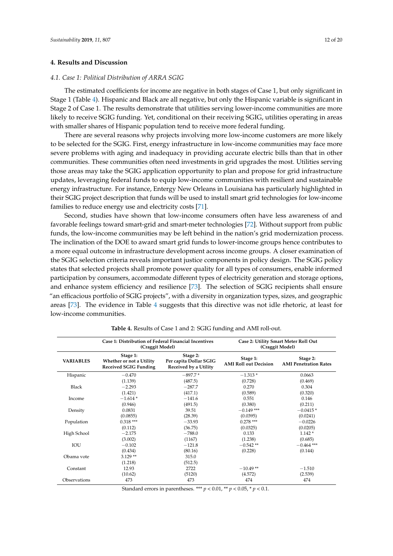# <span id="page-12-0"></span>**4. Results and Discussion**

## *4.1. Case 1: Political Distribution of ARRA SGIG*

The estimated coefficients for income are negative in both stages of Case 1, but only significant in Stage 1 (Table [4\)](#page-12-1). Hispanic and Black are all negative, but only the Hispanic variable is significant in Stage 2 of Case 1. The results demonstrate that utilities serving lower-income communities are more likely to receive SGIG funding. Yet, conditional on their receiving SGIG, utilities operating in areas with smaller shares of Hispanic population tend to receive more federal funding.

There are several reasons why projects involving more low-income customers are more likely to be selected for the SGIG. First, energy infrastructure in low-income communities may face more severe problems with aging and inadequacy in providing accurate electric bills than that in other communities. These communities often need investments in grid upgrades the most. Utilities serving those areas may take the SGIG application opportunity to plan and propose for grid infrastructure updates, leveraging federal funds to equip low-income communities with resilient and sustainable energy infrastructure. For instance, Entergy New Orleans in Louisiana has particularly highlighted in their SGIG project description that funds will be used to install smart grid technologies for low-income families to reduce energy use and electricity costs [\[71\]](#page-19-16).

Second, studies have shown that low-income consumers often have less awareness of and favorable feelings toward smart-grid and smart-meter technologies [\[72\]](#page-19-17). Without support from public funds, the low-income communities may be left behind in the nation's grid modernization process. The inclination of the DOE to award smart grid funds to lower-income groups hence contributes to a more equal outcome in infrastructure development across income groups. A closer examination of the SGIG selection criteria reveals important justice components in policy design. The SGIG policy states that selected projects shall promote power quality for all types of consumers, enable informed participation by consumers, accommodate different types of electricity generation and storage options, and enhance system efficiency and resilience [\[73\]](#page-19-18). The selection of SGIG recipients shall ensure "an efficacious portfolio of SGIG projects", with a diversity in organization types, sizes, and geographic areas [\[73\]](#page-19-18). The evidence in Table [4](#page-12-1) suggests that this directive was not idle rhetoric, at least for low-income communities.

<span id="page-12-1"></span>

|                  | Case 1: Distribution of Federal Financial Incentives<br>(Craggit Model) |                                                             | Case 2: Utility Smart Meter Roll Out<br>(Craggit Model) |                                          |  |
|------------------|-------------------------------------------------------------------------|-------------------------------------------------------------|---------------------------------------------------------|------------------------------------------|--|
| <b>VARIABLES</b> | Stage 1:<br>Whether or not a Utility<br><b>Received SGIG Funding</b>    | Stage 2:<br>Per capita Dollar SGIG<br>Received by a Utility | Stage 1:<br><b>AMI Roll out Decision</b>                | Stage 2:<br><b>AMI Penetration Rates</b> |  |
| Hispanic         | $-0.470$                                                                | $-897.7*$                                                   | $-1.313*$                                               | 0.0663                                   |  |
|                  | (1.139)                                                                 | (487.5)                                                     | (0.728)                                                 | (0.469)                                  |  |
| Black            | $-2.293$                                                                | $-287.7$                                                    | 0.270                                                   | 0.304                                    |  |
|                  | (1.421)                                                                 | (417.1)                                                     | (0.589)                                                 | (0.320)                                  |  |
| Income           | $-1.614*$                                                               | $-141.6$                                                    | 0.551                                                   | 0.146                                    |  |
|                  | (0.946)                                                                 | (491.5)                                                     | (0.380)                                                 | (0.211)                                  |  |
| Density          | 0.0831                                                                  | 39.51                                                       | $-0.149$ ***                                            | $-0.0415*$                               |  |
|                  | (0.0855)                                                                | (28.39)                                                     | (0.0395)                                                | (0.0241)                                 |  |
| Population       | $0.318***$                                                              | $-33.93$                                                    | $0.278$ ***                                             | $-0.0226$                                |  |
|                  | (0.112)                                                                 | (36.75)                                                     | (0.0325)                                                | (0.0205)                                 |  |
| High School      | $-2.175$                                                                | $-788.0$                                                    | 0.133                                                   | $1.142*$                                 |  |
|                  | (3.002)                                                                 | (1167)                                                      | (1.238)                                                 | (0.685)                                  |  |
| IOU              | $-0.102$                                                                | $-121.8$                                                    | $-0.542**$                                              | $-0.464$ ***                             |  |
|                  | (0.434)                                                                 | (80.16)                                                     | (0.228)                                                 | (0.144)                                  |  |
| Obama vote       | $3.129**$                                                               | 315.0                                                       |                                                         |                                          |  |
|                  | (1.218)                                                                 | (512.5)                                                     |                                                         |                                          |  |
| Constant         | 12.93                                                                   | 2722                                                        | $-10.49**$                                              | $-1.510$                                 |  |
|                  | (10.62)                                                                 | (5120)                                                      | (4.572)                                                 | (2.539)                                  |  |
| Observations     | 473                                                                     | 473                                                         | 474                                                     | 474                                      |  |

**Table 4.** Results of Case 1 and 2: SGIG funding and AMI roll-out.

Standard errors in parentheses. \*\*\* *p* < 0.01, \*\* *p* < 0.05, \* *p* < 0.1.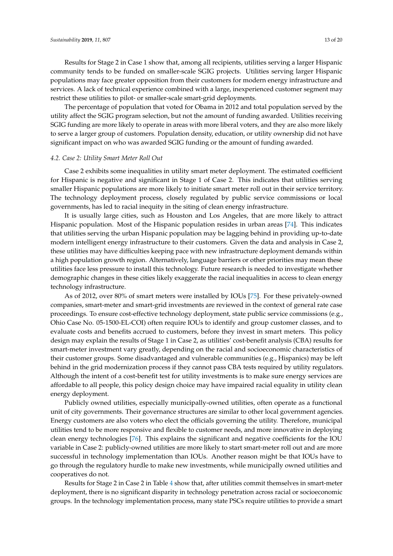Results for Stage 2 in Case 1 show that, among all recipients, utilities serving a larger Hispanic community tends to be funded on smaller-scale SGIG projects. Utilities serving larger Hispanic populations may face greater opposition from their customers for modern energy infrastructure and services. A lack of technical experience combined with a large, inexperienced customer segment may restrict these utilities to pilot- or smaller-scale smart-grid deployments.

The percentage of population that voted for Obama in 2012 and total population served by the utility affect the SGIG program selection, but not the amount of funding awarded. Utilities receiving SGIG funding are more likely to operate in areas with more liberal voters, and they are also more likely to serve a larger group of customers. Population density, education, or utility ownership did not have significant impact on who was awarded SGIG funding or the amount of funding awarded.

# *4.2. Case 2: Utility Smart Meter Roll Out*

Case 2 exhibits some inequalities in utility smart meter deployment. The estimated coefficient for Hispanic is negative and significant in Stage 1 of Case 2. This indicates that utilities serving smaller Hispanic populations are more likely to initiate smart meter roll out in their service territory. The technology deployment process, closely regulated by public service commissions or local governments, has led to racial inequity in the siting of clean energy infrastructure.

It is usually large cities, such as Houston and Los Angeles, that are more likely to attract Hispanic population. Most of the Hispanic population resides in urban areas [\[74\]](#page-19-19). This indicates that utilities serving the urban Hispanic population may be lagging behind in providing up-to-date modern intelligent energy infrastructure to their customers. Given the data and analysis in Case 2, these utilities may have difficulties keeping pace with new infrastructure deployment demands within a high population growth region. Alternatively, language barriers or other priorities may mean these utilities face less pressure to install this technology. Future research is needed to investigate whether demographic changes in these cities likely exaggerate the racial inequalities in access to clean energy technology infrastructure.

As of 2012, over 80% of smart meters were installed by IOUs [\[75\]](#page-19-20). For these privately-owned companies, smart-meter and smart-grid investments are reviewed in the context of general rate case proceedings. To ensure cost-effective technology deployment, state public service commissions (e.g., Ohio Case No. 05-1500-EL-COI) often require IOUs to identify and group customer classes, and to evaluate costs and benefits accrued to customers, before they invest in smart meters. This policy design may explain the results of Stage 1 in Case 2, as utilities' cost-benefit analysis (CBA) results for smart-meter investment vary greatly, depending on the racial and socioeconomic characteristics of their customer groups. Some disadvantaged and vulnerable communities (e.g., Hispanics) may be left behind in the grid modernization process if they cannot pass CBA tests required by utility regulators. Although the intent of a cost-benefit test for utility investments is to make sure energy services are affordable to all people, this policy design choice may have impaired racial equality in utility clean energy deployment.

Publicly owned utilities, especially municipally-owned utilities, often operate as a functional unit of city governments. Their governance structures are similar to other local government agencies. Energy customers are also voters who elect the officials governing the utility. Therefore, municipal utilities tend to be more responsive and flexible to customer needs, and more innovative in deploying clean energy technologies [\[76\]](#page-19-21). This explains the significant and negative coefficients for the IOU variable in Case 2: publicly-owned utilities are more likely to start smart-meter roll out and are more successful in technology implementation than IOUs. Another reason might be that IOUs have to go through the regulatory hurdle to make new investments, while municipally owned utilities and cooperatives do not.

Results for Stage 2 in Case 2 in Table [4](#page-12-1) show that, after utilities commit themselves in smart-meter deployment, there is no significant disparity in technology penetration across racial or socioeconomic groups. In the technology implementation process, many state PSCs require utilities to provide a smart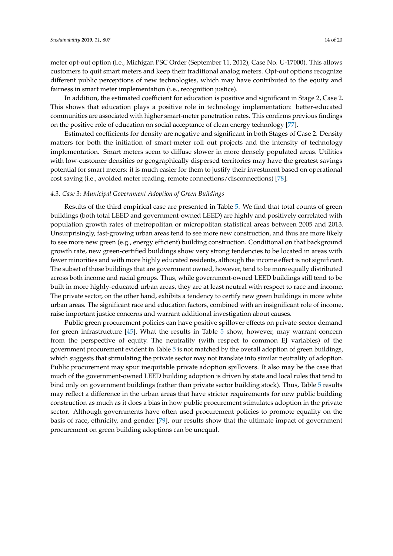meter opt-out option (i.e., Michigan PSC Order (September 11, 2012), Case No. U-17000). This allows customers to quit smart meters and keep their traditional analog meters. Opt-out options recognize different public perceptions of new technologies, which may have contributed to the equity and fairness in smart meter implementation (i.e., recognition justice).

In addition, the estimated coefficient for education is positive and significant in Stage 2, Case 2. This shows that education plays a positive role in technology implementation: better-educated communities are associated with higher smart-meter penetration rates. This confirms previous findings on the positive role of education on social acceptance of clean energy technology [\[77\]](#page-19-22).

Estimated coefficients for density are negative and significant in both Stages of Case 2. Density matters for both the initiation of smart-meter roll out projects and the intensity of technology implementation. Smart meters seem to diffuse slower in more densely populated areas. Utilities with low-customer densities or geographically dispersed territories may have the greatest savings potential for smart meters: it is much easier for them to justify their investment based on operational cost saving (i.e., avoided meter reading, remote connections/disconnections) [\[78\]](#page-20-0).

### *4.3. Case 3: Municipal Government Adoption of Green Buildings*

Results of the third empirical case are presented in Table [5.](#page-15-0) We find that total counts of green buildings (both total LEED and government-owned LEED) are highly and positively correlated with population growth rates of metropolitan or micropolitan statistical areas between 2005 and 2013. Unsurprisingly, fast-growing urban areas tend to see more new construction, and thus are more likely to see more new green (e.g., energy efficient) building construction. Conditional on that background growth rate, new green-certified buildings show very strong tendencies to be located in areas with fewer minorities and with more highly educated residents, although the income effect is not significant. The subset of those buildings that are government owned, however, tend to be more equally distributed across both income and racial groups. Thus, while government-owned LEED buildings still tend to be built in more highly-educated urban areas, they are at least neutral with respect to race and income. The private sector, on the other hand, exhibits a tendency to certify new green buildings in more white urban areas. The significant race and education factors, combined with an insignificant role of income, raise important justice concerns and warrant additional investigation about causes.

Public green procurement policies can have positive spillover effects on private-sector demand for green infrastructure [\[45\]](#page-18-16). What the results in Table [5](#page-15-0) show, however, may warrant concern from the perspective of equity. The neutrality (with respect to common EJ variables) of the government procurement evident in Table [5](#page-15-0) is not matched by the overall adoption of green buildings, which suggests that stimulating the private sector may not translate into similar neutrality of adoption. Public procurement may spur inequitable private adoption spillovers. It also may be the case that much of the government-owned LEED building adoption is driven by state and local rules that tend to bind only on government buildings (rather than private sector building stock). Thus, Table [5](#page-15-0) results may reflect a difference in the urban areas that have stricter requirements for new public building construction as much as it does a bias in how public procurement stimulates adoption in the private sector. Although governments have often used procurement policies to promote equality on the basis of race, ethnicity, and gender [\[79\]](#page-20-1), our results show that the ultimate impact of government procurement on green building adoptions can be unequal.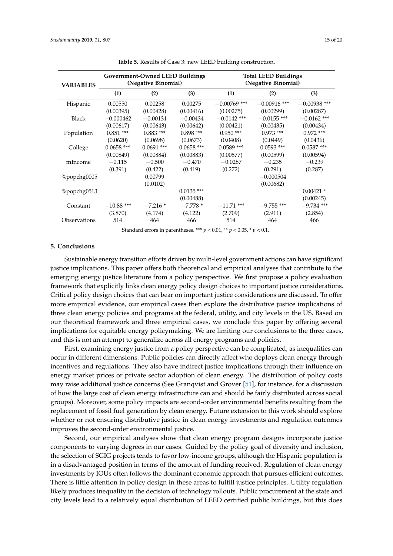<span id="page-15-0"></span>

| <b>VARIABLES</b>   | <b>Government-Owned LEED Buildings</b><br>(Negative Binomial) |              |              | <b>Total LEED Buildings</b><br>(Negative Binomial) |                |                |
|--------------------|---------------------------------------------------------------|--------------|--------------|----------------------------------------------------|----------------|----------------|
|                    | (1)                                                           | (2)          | (3)          | (1)                                                | (2)            | (3)            |
| Hispanic           | 0.00550                                                       | 0.00258      | 0.00275      | $-0.00769$ ***                                     | $-0.00916$ *** | $-0.00938$ *** |
|                    | (0.00395)                                                     | (0.00428)    | (0.00416)    | (0.00275)                                          | (0.00299)      | (0.00287)      |
| Black              | $-0.000462$                                                   | $-0.00131$   | $-0.00434$   | $-0.0142$ ***                                      | $-0.0155$ ***  | $-0.0162$ ***  |
|                    | (0.00617)                                                     | (0.00643)    | (0.00642)    | (0.00421)                                          | (0.00435)      | (0.00434)      |
| Population         | $0.851$ ***                                                   | $0.883$ ***  | $0.898***$   | $0.950$ ***                                        | $0.973$ ***    | $0.972$ ***    |
|                    | (0.0620)                                                      | (0.0698)     | (0.0673)     | (0.0408)                                           | (0.0449)       | (0.0436)       |
| College            | $0.0658$ ***                                                  | $0.0691$ *** | $0.0658$ *** | $0.0589$ ***                                       | $0.0593$ ***   | $0.0587$ ***   |
|                    | (0.00849)                                                     | (0.00884)    | (0.00883)    | (0.00577)                                          | (0.00599)      | (0.00594)      |
| mIncome            | $-0.115$                                                      | $-0.500$     | $-0.470$     | $-0.0287$                                          | $-0.235$       | $-0.239$       |
|                    | (0.391)                                                       | (0.422)      | (0.419)      | (0.272)                                            | (0.291)        | (0.287)        |
| %popchg0005        |                                                               | 0.00799      |              |                                                    | $-0.000504$    |                |
|                    |                                                               | (0.0102)     |              |                                                    | (0.00682)      |                |
| $\%$ popchg $0513$ |                                                               |              | $0.0135$ *** |                                                    |                | $0.00421*$     |
|                    |                                                               |              | (0.00488)    |                                                    |                | (0.00245)      |
| Constant           | $-10.88$ ***                                                  | $-7.216*$    | $-7.778*$    | $-11.71$ ***                                       | $-9.755$ ***   | $-9.734$ ***   |
|                    | (3.870)                                                       | (4.174)      | (4.122)      | (2.709)                                            | (2.911)        | (2.854)        |
| Observations       | 514                                                           | 464          | 466          | 514                                                | 464            | 466            |

**Table 5.** Results of Case 3: new LEED building construction.

Standard errors in parentheses. \*\*\*  $p < 0.01$ , \*\*  $p < 0.05$ , \*  $p < 0.1$ .

# **5. Conclusions**

Sustainable energy transition efforts driven by multi-level government actions can have significant justice implications. This paper offers both theoretical and empirical analyses that contribute to the emerging energy justice literature from a policy perspective. We first propose a policy evaluation framework that explicitly links clean energy policy design choices to important justice considerations. Critical policy design choices that can bear on important justice considerations are discussed. To offer more empirical evidence, our empirical cases then explore the distributive justice implications of three clean energy policies and programs at the federal, utility, and city levels in the US. Based on our theoretical framework and three empirical cases, we conclude this paper by offering several implications for equitable energy policymaking. We are limiting our conclusions to the three cases, and this is not an attempt to generalize across all energy programs and policies.

First, examining energy justice from a policy perspective can be complicated, as inequalities can occur in different dimensions. Public policies can directly affect who deploys clean energy through incentives and regulations. They also have indirect justice implications through their influence on energy market prices or private sector adoption of clean energy. The distribution of policy costs may raise additional justice concerns (See Granqvist and Grover [\[51\]](#page-18-22), for instance, for a discussion of how the large cost of clean energy infrastructure can and should be fairly distributed across social groups). Moreover, some policy impacts are second-order environmental benefits resulting from the replacement of fossil fuel generation by clean energy. Future extension to this work should explore whether or not ensuring distributive justice in clean energy investments and regulation outcomes improves the second-order environmental justice.

Second, our empirical analyses show that clean energy program designs incorporate justice components to varying degrees in our cases. Guided by the policy goal of diversity and inclusion, the selection of SGIG projects tends to favor low-income groups, although the Hispanic population is in a disadvantaged position in terms of the amount of funding received. Regulation of clean energy investments by IOUs often follows the dominant economic approach that pursues efficient outcomes. There is little attention in policy design in these areas to fulfill justice principles. Utility regulation likely produces inequality in the decision of technology rollouts. Public procurement at the state and city levels lead to a relatively equal distribution of LEED certified public buildings, but this does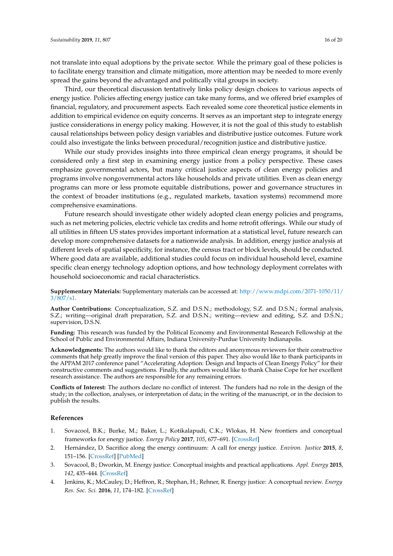not translate into equal adoptions by the private sector. While the primary goal of these policies is to facilitate energy transition and climate mitigation, more attention may be needed to more evenly spread the gains beyond the advantaged and politically vital groups in society.

Third, our theoretical discussion tentatively links policy design choices to various aspects of energy justice. Policies affecting energy justice can take many forms, and we offered brief examples of financial, regulatory, and procurement aspects. Each revealed some core theoretical justice elements in addition to empirical evidence on equity concerns. It serves as an important step to integrate energy justice considerations in energy policy making. However, it is not the goal of this study to establish causal relationships between policy design variables and distributive justice outcomes. Future work could also investigate the links between procedural/recognition justice and distributive justice.

While our study provides insights into three empirical clean energy programs, it should be considered only a first step in examining energy justice from a policy perspective. These cases emphasize governmental actors, but many critical justice aspects of clean energy policies and programs involve nongovernmental actors like households and private utilities. Even as clean energy programs can more or less promote equitable distributions, power and governance structures in the context of broader institutions (e.g., regulated markets, taxation systems) recommend more comprehensive examinations.

Future research should investigate other widely adopted clean energy policies and programs, such as net metering policies, electric vehicle tax credits and home retrofit offerings. While our study of all utilities in fifteen US states provides important information at a statistical level, future research can develop more comprehensive datasets for a nationwide analysis. In addition, energy justice analysis at different levels of spatial specificity, for instance, the census tract or block levels, should be conducted. Where good data are available, additional studies could focus on individual household level, examine specific clean energy technology adoption options, and how technology deployment correlates with household socioeconomic and racial characteristics.

**Supplementary Materials:** Supplementary materials can be accessed at: [http://www.mdpi.com/2071-1050/11/](http://www.mdpi.com/2071-1050/11/3/807/s1) [3/807/s1.](http://www.mdpi.com/2071-1050/11/3/807/s1)

**Author Contributions:** Conceptualization, S.Z. and D.S.N.; methodology, S.Z. and D.S.N.; formal analysis, S.Z.; writing—original draft preparation, S.Z. and D.S.N.; writing—review and editing, S.Z. and D.S.N.; supervision, D.S.N.

**Funding:** This research was funded by the Political Economy and Environmental Research Fellowship at the School of Public and Environmental Affairs, Indiana University-Purdue University Indianapolis.

**Acknowledgments:** The authors would like to thank the editors and anonymous reviewers for their constructive comments that help greatly improve the final version of this paper. They also would like to thank participants in the APPAM 2017 conference panel "Accelerating Adoption: Design and Impacts of Clean Energy Policy" for their constructive comments and suggestions. Finally, the authors would like to thank Chaise Cope for her excellent research assistance. The authors are responsible for any remaining errors.

**Conflicts of Interest:** The authors declare no conflict of interest. The funders had no role in the design of the study; in the collection, analyses, or interpretation of data; in the writing of the manuscript, or in the decision to publish the results.

### **References**

- <span id="page-16-0"></span>1. Sovacool, B.K.; Burke, M.; Baker, L.; Kotikalapudi, C.K.; Wlokas, H. New frontiers and conceptual frameworks for energy justice. *Energy Policy* **2017**, *105*, 677–691. [\[CrossRef\]](http://dx.doi.org/10.1016/j.enpol.2017.03.005)
- <span id="page-16-1"></span>2. Hernández, D. Sacrifice along the energy continuum: A call for energy justice. *Environ. Justice* **2015**, *8*, 151–156. [\[CrossRef\]](http://dx.doi.org/10.1089/env.2015.0015) [\[PubMed\]](http://www.ncbi.nlm.nih.gov/pubmed/27053980)
- <span id="page-16-2"></span>3. Sovacool, B.; Dworkin, M. Energy justice: Conceptual insights and practical applications. *Appl. Energy* **2015**, *142*, 435–444. [\[CrossRef\]](http://dx.doi.org/10.1016/j.apenergy.2015.01.002)
- <span id="page-16-3"></span>4. Jenkins, K.; McCauley, D.; Heffron, R.; Stephan, H.; Rehner, R. Energy justice: A conceptual review. *Energy Res. Soc. Sci.* **2016**, *11*, 174–182. [\[CrossRef\]](http://dx.doi.org/10.1016/j.erss.2015.10.004)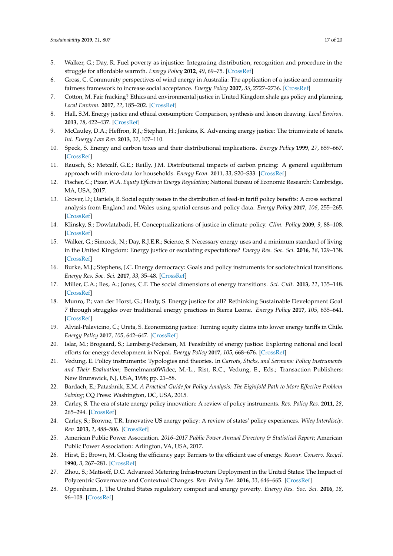- <span id="page-17-0"></span>5. Walker, G.; Day, R. Fuel poverty as injustice: Integrating distribution, recognition and procedure in the struggle for affordable warmth. *Energy Policy* **2012**, *49*, 69–75. [\[CrossRef\]](http://dx.doi.org/10.1016/j.enpol.2012.01.044)
- <span id="page-17-1"></span>6. Gross, C. Community perspectives of wind energy in Australia: The application of a justice and community fairness framework to increase social acceptance. *Energy Policy* **2007**, *35*, 2727–2736. [\[CrossRef\]](http://dx.doi.org/10.1016/j.enpol.2006.12.013)
- <span id="page-17-2"></span>7. Cotton, M. Fair fracking? Ethics and environmental justice in United Kingdom shale gas policy and planning. *Local Environ.* **2017**, *22*, 185–202. [\[CrossRef\]](http://dx.doi.org/10.1080/13549839.2016.1186613)
- <span id="page-17-3"></span>8. Hall, S.M. Energy justice and ethical consumption: Comparison, synthesis and lesson drawing. *Local Environ.* **2013**, *18*, 422–437. [\[CrossRef\]](http://dx.doi.org/10.1080/13549839.2012.748730)
- <span id="page-17-4"></span>9. McCauley, D.A.; Heffron, R.J.; Stephan, H.; Jenkins, K. Advancing energy justice: The triumvirate of tenets. *Int. Energy Law Rev.* **2013**, *32*, 107–110.
- <span id="page-17-5"></span>10. Speck, S. Energy and carbon taxes and their distributional implications. *Energy Policy* **1999**, *27*, 659–667. [\[CrossRef\]](http://dx.doi.org/10.1016/S0301-4215(99)00059-2)
- 11. Rausch, S.; Metcalf, G.E.; Reilly, J.M. Distributional impacts of carbon pricing: A general equilibrium approach with micro-data for households. *Energy Econ.* **2011**, *33*, S20–S33. [\[CrossRef\]](http://dx.doi.org/10.1016/j.eneco.2011.07.023)
- <span id="page-17-6"></span>12. Fischer, C.; Pizer, W.A. *Equity Effects in Energy Regulation*; National Bureau of Economic Research: Cambridge, MA, USA, 2017.
- <span id="page-17-7"></span>13. Grover, D.; Daniels, B. Social equity issues in the distribution of feed-in tariff policy benefits: A cross sectional analysis from England and Wales using spatial census and policy data. *Energy Policy* **2017**, *106*, 255–265. [\[CrossRef\]](http://dx.doi.org/10.1016/j.enpol.2017.03.043)
- <span id="page-17-8"></span>14. Klinsky, S.; Dowlatabadi, H. Conceptualizations of justice in climate policy. *Clim. Policy* **2009**, *9*, 88–108. [\[CrossRef\]](http://dx.doi.org/10.3763/cpol.2007.0468)
- <span id="page-17-9"></span>15. Walker, G.; Simcock, N.; Day, R.J.E.R.; Science, S. Necessary energy uses and a minimum standard of living in the United Kingdom: Energy justice or escalating expectations? *Energy Res. Soc. Sci.* **2016**, *18*, 129–138. [\[CrossRef\]](http://dx.doi.org/10.1016/j.erss.2016.02.007)
- <span id="page-17-10"></span>16. Burke, M.J.; Stephens, J.C. Energy democracy: Goals and policy instruments for sociotechnical transitions. *Energy Res. Soc. Sci.* **2017**, *33*, 35–48. [\[CrossRef\]](http://dx.doi.org/10.1016/j.erss.2017.09.024)
- <span id="page-17-11"></span>17. Miller, C.A.; Iles, A.; Jones, C.F. The social dimensions of energy transitions. *Sci. Cult.* **2013**, *22*, 135–148. [\[CrossRef\]](http://dx.doi.org/10.1080/09505431.2013.786989)
- <span id="page-17-12"></span>18. Munro, P.; van der Horst, G.; Healy, S. Energy justice for all? Rethinking Sustainable Development Goal 7 through struggles over traditional energy practices in Sierra Leone. *Energy Policy* **2017**, *105*, 635–641. [\[CrossRef\]](http://dx.doi.org/10.1016/j.enpol.2017.01.038)
- <span id="page-17-13"></span>19. Alvial-Palavicino, C.; Ureta, S. Economizing justice: Turning equity claims into lower energy tariffs in Chile. *Energy Policy* **2017**, *105*, 642–647. [\[CrossRef\]](http://dx.doi.org/10.1016/j.enpol.2017.02.013)
- <span id="page-17-14"></span>20. Islar, M.; Brogaard, S.; Lemberg-Pedersen, M. Feasibility of energy justice: Exploring national and local efforts for energy development in Nepal. *Energy Policy* **2017**, *105*, 668–676. [\[CrossRef\]](http://dx.doi.org/10.1016/j.enpol.2017.03.004)
- <span id="page-17-15"></span>21. Vedung, E. Policy instruments: Typologies and theories. In *Carrots, Sticks, and Sermons: Policy Instruments and Their Evaluation*; Bemelmans0Widec, M.-L., Rist, R.C., Vedung, E., Eds.; Transaction Publishers: New Brunswick, NJ, USA, 1998; pp. 21–58.
- <span id="page-17-16"></span>22. Bardach, E.; Patashnik, E.M. *A Practical Guide for Policy Analysis: The Eightfold Path to More Effective Problem Solving*; CQ Press: Washington, DC, USA, 2015.
- <span id="page-17-17"></span>23. Carley, S. The era of state energy policy innovation: A review of policy instruments. *Rev. Policy Res.* **2011**, *28*, 265–294. [\[CrossRef\]](http://dx.doi.org/10.1111/j.1541-1338.2011.00495.x)
- <span id="page-17-18"></span>24. Carley, S.; Browne, T.R. Innovative US energy policy: A review of states' policy experiences. *Wiley Interdiscip. Rev.* **2013**, *2*, 488–506. [\[CrossRef\]](http://dx.doi.org/10.1002/wene.58)
- <span id="page-17-19"></span>25. American Public Power Association. *2016–2017 Public Power Annual Directory & Statistical Report*; American Public Power Association: Arlington, VA, USA, 2017.
- <span id="page-17-20"></span>26. Hirst, E.; Brown, M. Closing the efficiency gap: Barriers to the efficient use of energy. *Resour. Conserv. Recycl.* **1990**, *3*, 267–281. [\[CrossRef\]](http://dx.doi.org/10.1016/0921-3449(90)90023-W)
- <span id="page-17-21"></span>27. Zhou, S.; Matisoff, D.C. Advanced Metering Infrastructure Deployment in the United States: The Impact of Polycentric Governance and Contextual Changes. *Rev. Policy Res.* **2016**, *33*, 646–665. [\[CrossRef\]](http://dx.doi.org/10.1111/ropr.12203)
- <span id="page-17-22"></span>28. Oppenheim, J. The United States regulatory compact and energy poverty. *Energy Res. Soc. Sci.* **2016**, *18*, 96–108. [\[CrossRef\]](http://dx.doi.org/10.1016/j.erss.2016.04.022)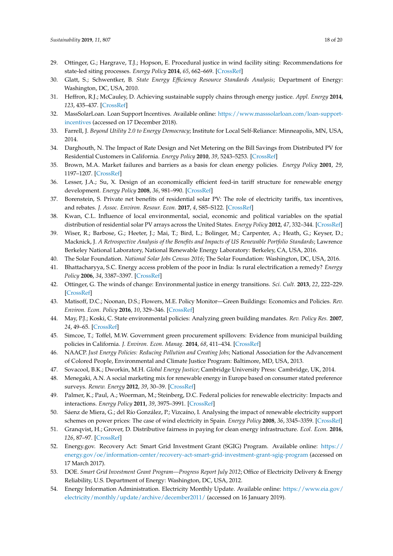- <span id="page-18-0"></span>29. Ottinger, G.; Hargrave, T.J.; Hopson, E. Procedural justice in wind facility siting: Recommendations for state-led siting processes. *Energy Policy* **2014**, *65*, 662–669. [\[CrossRef\]](http://dx.doi.org/10.1016/j.enpol.2013.09.066)
- <span id="page-18-1"></span>30. Glatt, S.; Schwentker, B. *State Energy Efficiency Resource Standards Analysis*; Department of Energy: Washington, DC, USA, 2010.
- <span id="page-18-2"></span>31. Heffron, R.J.; McCauley, D. Achieving sustainable supply chains through energy justice. *Appl. Energy* **2014**, *123*, 435–437. [\[CrossRef\]](http://dx.doi.org/10.1016/j.apenergy.2013.12.034)
- <span id="page-18-3"></span>32. MassSolarLoan. Loan Support Incentives. Available online: [https://www.masssolarloan.com/loan-support](https://www.masssolarloan.com/loan-support-incentives)[incentives](https://www.masssolarloan.com/loan-support-incentives) (accessed on 17 December 2018).
- <span id="page-18-4"></span>33. Farrell, J. *Beyond Utility 2.0 to Energy Democracy*; Institute for Local Self-Reliance: Minneapolis, MN, USA, 2014.
- <span id="page-18-5"></span>34. Darghouth, N. The Impact of Rate Design and Net Metering on the Bill Savings from Distributed PV for Residential Customers in California. *Energy Policy* **2010**, *39*, 5243–5253. [\[CrossRef\]](http://dx.doi.org/10.1016/j.enpol.2011.05.040)
- <span id="page-18-6"></span>35. Brown, M.A. Market failures and barriers as a basis for clean energy policies. *Energy Policy* **2001**, *29*, 1197–1207. [\[CrossRef\]](http://dx.doi.org/10.1016/S0301-4215(01)00067-2)
- <span id="page-18-7"></span>36. Lesser, J.A.; Su, X. Design of an economically efficient feed-in tariff structure for renewable energy development. *Energy Policy* **2008**, *36*, 981–990. [\[CrossRef\]](http://dx.doi.org/10.1016/j.enpol.2007.11.007)
- <span id="page-18-8"></span>37. Borenstein, S. Private net benefits of residential solar PV: The role of electricity tariffs, tax incentives, and rebates. *J. Assoc. Environ. Resour. Econ.* **2017**, *4*, S85–S122. [\[CrossRef\]](http://dx.doi.org/10.1086/691978)
- <span id="page-18-9"></span>38. Kwan, C.L. Influence of local environmental, social, economic and political variables on the spatial distribution of residential solar PV arrays across the United States. *Energy Policy* **2012**, *47*, 332–344. [\[CrossRef\]](http://dx.doi.org/10.1016/j.enpol.2012.04.074)
- <span id="page-18-10"></span>39. Wiser, R.; Barbose, G.; Heeter, J.; Mai, T.; Bird, L.; Bolinger, M.; Carpenter, A.; Heath, G.; Keyser, D.; Macknick, J. *A Retrospective Analysis of the Benefits and Impacts of US Renewable Portfolio Standards*; Lawrence Berkeley National Laboratory, National Renewable Energy Laboratory: Berkeley, CA, USA, 2016.
- <span id="page-18-11"></span>40. The Solar Foundation. *National Solar Jobs Census 2016*; The Solar Foundation: Washington, DC, USA, 2016.
- <span id="page-18-12"></span>41. Bhattacharyya, S.C. Energy access problem of the poor in India: Is rural electrification a remedy? *Energy Policy* **2006**, *34*, 3387–3397. [\[CrossRef\]](http://dx.doi.org/10.1016/j.enpol.2005.08.026)
- <span id="page-18-13"></span>42. Ottinger, G. The winds of change: Environmental justice in energy transitions. *Sci. Cult.* **2013**, *22*, 222–229. [\[CrossRef\]](http://dx.doi.org/10.1080/09505431.2013.786996)
- <span id="page-18-14"></span>43. Matisoff, D.C.; Noonan, D.S.; Flowers, M.E. Policy Monitor—Green Buildings: Economics and Policies. *Rev. Environ. Econ. Policy* **2016**, *10*, 329–346. [\[CrossRef\]](http://dx.doi.org/10.1093/reep/rew009)
- <span id="page-18-15"></span>44. May, P.J.; Koski, C. State environmental policies: Analyzing green building mandates. *Rev. Policy Res.* **2007**, *24*, 49–65. [\[CrossRef\]](http://dx.doi.org/10.1111/j.1541-1338.2007.00267.x)
- <span id="page-18-16"></span>45. Simcoe, T.; Toffel, M.W. Government green procurement spillovers: Evidence from municipal building policies in California. *J. Environ. Econ. Manag.* **2014**, *68*, 411–434. [\[CrossRef\]](http://dx.doi.org/10.1016/j.jeem.2014.09.001)
- <span id="page-18-17"></span>46. NAACP. *Just Energy Policies: Reducing Pollution and Creating Jobs*; National Association for the Advancement of Colored People, Environmental and Climate Justice Program: Baltimore, MD, USA, 2013.
- <span id="page-18-18"></span>47. Sovacool, B.K.; Dworkin, M.H. *Global Energy Justice*; Cambridge University Press: Cambridge, UK, 2014.
- <span id="page-18-19"></span>48. Menegaki, A.N. A social marketing mix for renewable energy in Europe based on consumer stated preference surveys. *Renew. Energy* **2012**, *39*, 30–39. [\[CrossRef\]](http://dx.doi.org/10.1016/j.renene.2011.08.042)
- <span id="page-18-20"></span>49. Palmer, K.; Paul, A.; Woerman, M.; Steinberg, D.C. Federal policies for renewable electricity: Impacts and interactions. *Energy Policy* **2011**, *39*, 3975–3991. [\[CrossRef\]](http://dx.doi.org/10.1016/j.enpol.2011.01.035)
- <span id="page-18-21"></span>50. Sáenz de Miera, G.; del Río González, P.; Vizcaíno, I. Analysing the impact of renewable electricity support schemes on power prices: The case of wind electricity in Spain. *Energy Policy* **2008**, *36*, 3345–3359. [\[CrossRef\]](http://dx.doi.org/10.1016/j.enpol.2008.04.022)
- <span id="page-18-22"></span>51. Granqvist, H.; Grover, D. Distributive fairness in paying for clean energy infrastructure. *Ecol. Econ.* **2016**, *126*, 87–97. [\[CrossRef\]](http://dx.doi.org/10.1016/j.ecolecon.2016.02.012)
- <span id="page-18-23"></span>52. Energy.gov. Recovery Act: Smart Grid Investment Grant (SGIG) Program. Available online: [https://](https://energy.gov/oe/information-center/recovery-act-smart-grid-investment-grant-sgig-program) [energy.gov/oe/information-center/recovery-act-smart-grid-investment-grant-sgig-program](https://energy.gov/oe/information-center/recovery-act-smart-grid-investment-grant-sgig-program) (accessed on 17 March 2017).
- <span id="page-18-24"></span>53. DOE. *Smart Grid Investment Grant Program—Progress Report July 2012*; Office of Electricity Delivery & Energy Reliability, U.S. Department of Energy: Washington, DC, USA, 2012.
- <span id="page-18-25"></span>54. Energy Information Administration. Electricity Monthly Update. Available online: [https://www.eia.gov/](https://www.eia.gov/electricity/monthly/update/archive/december2011/) [electricity/monthly/update/archive/december2011/](https://www.eia.gov/electricity/monthly/update/archive/december2011/) (accessed on 16 January 2019).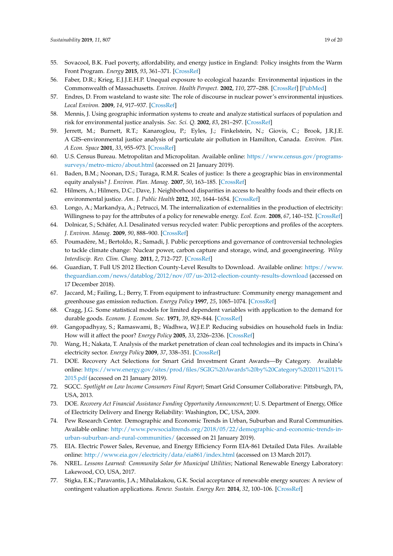- <span id="page-19-0"></span>55. Sovacool, B.K. Fuel poverty, affordability, and energy justice in England: Policy insights from the Warm Front Program. *Energy* **2015**, *93*, 361–371. [\[CrossRef\]](http://dx.doi.org/10.1016/j.energy.2015.09.016)
- <span id="page-19-1"></span>56. Faber, D.R.; Krieg, E.J.J.E.H.P. Unequal exposure to ecological hazards: Environmental injustices in the Commonwealth of Massachusetts. *Environ. Health Perspect.* **2002**, *110*, 277–288. [\[CrossRef\]](http://dx.doi.org/10.1289/ehp.02110s2277) [\[PubMed\]](http://www.ncbi.nlm.nih.gov/pubmed/11929739)
- <span id="page-19-2"></span>57. Endres, D. From wasteland to waste site: The role of discourse in nuclear power's environmental injustices. *Local Environ.* **2009**, *14*, 917–937. [\[CrossRef\]](http://dx.doi.org/10.1080/13549830903244409)
- <span id="page-19-3"></span>58. Mennis, J. Using geographic information systems to create and analyze statistical surfaces of population and risk for environmental justice analysis. *Soc. Sci. Q.* **2002**, *83*, 281–297. [\[CrossRef\]](http://dx.doi.org/10.1111/1540-6237.00083)
- <span id="page-19-4"></span>59. Jerrett, M.; Burnett, R.T.; Kanaroglou, P.; Eyles, J.; Finkelstein, N.; Giovis, C.; Brook, J.R.J.E. A GIS–environmental justice analysis of particulate air pollution in Hamilton, Canada. *Environ. Plan. A Econ. Space* **2001**, *33*, 955–973. [\[CrossRef\]](http://dx.doi.org/10.1068/a33137)
- <span id="page-19-5"></span>60. U.S. Census Bureau. Metropolitan and Micropolitan. Available online: [https://www.census.gov/programs](https://www.census.gov/programs-surveys/metro-micro/about.html)[surveys/metro-micro/about.html](https://www.census.gov/programs-surveys/metro-micro/about.html) (accessed on 21 January 2019).
- <span id="page-19-6"></span>61. Baden, B.M.; Noonan, D.S.; Turaga, R.M.R. Scales of justice: Is there a geographic bias in environmental equity analysis? *J. Environ. Plan. Manag.* **2007**, *50*, 163–185. [\[CrossRef\]](http://dx.doi.org/10.1080/09640560601156433)
- <span id="page-19-7"></span>62. Hilmers, A.; Hilmers, D.C.; Dave, J. Neighborhood disparities in access to healthy foods and their effects on environmental justice. *Am. J. Public Health* **2012**, *102*, 1644–1654. [\[CrossRef\]](http://dx.doi.org/10.2105/AJPH.2012.300865)
- <span id="page-19-8"></span>63. Longo, A.; Markandya, A.; Petrucci, M. The internalization of externalities in the production of electricity: Willingness to pay for the attributes of a policy for renewable energy. *Ecol. Econ.* **2008**, *67*, 140–152. [\[CrossRef\]](http://dx.doi.org/10.1016/j.ecolecon.2007.12.006)
- <span id="page-19-9"></span>64. Dolnicar, S.; Schäfer, A.I. Desalinated versus recycled water: Public perceptions and profiles of the accepters. *J. Environ. Manag.* **2009**, *90*, 888–900. [\[CrossRef\]](http://dx.doi.org/10.1016/j.jenvman.2008.02.003)
- <span id="page-19-10"></span>65. Poumadère, M.; Bertoldo, R.; Samadi, J. Public perceptions and governance of controversial technologies to tackle climate change: Nuclear power, carbon capture and storage, wind, and geoengineering. *Wiley Interdiscip. Rev. Clim. Chang.* **2011**, *2*, 712–727. [\[CrossRef\]](http://dx.doi.org/10.1002/wcc.134)
- <span id="page-19-11"></span>66. Guardian, T. Full US 2012 Election County-Level Results to Download. Available online: [https://www.](https://www.theguardian.com/news/datablog/2012/nov/07/us-2012-election-county-results-download) [theguardian.com/news/datablog/2012/nov/07/us-2012-election-county-results-download](https://www.theguardian.com/news/datablog/2012/nov/07/us-2012-election-county-results-download) (accessed on 17 December 2018).
- <span id="page-19-12"></span>67. Jaccard, M.; Failing, L.; Berry, T. From equipment to infrastructure: Community energy management and greenhouse gas emission reduction. *Energy Policy* **1997**, *25*, 1065–1074. [\[CrossRef\]](http://dx.doi.org/10.1016/S0301-4215(97)00091-8)
- <span id="page-19-13"></span>68. Cragg, J.G. Some statistical models for limited dependent variables with application to the demand for durable goods. *Econom. J. Econom. Soc.* **1971**, *39*, 829–844. [\[CrossRef\]](http://dx.doi.org/10.2307/1909582)
- <span id="page-19-14"></span>69. Gangopadhyay, S.; Ramaswami, B.; Wadhwa, W.J.E.P. Reducing subsidies on household fuels in India: How will it affect the poor? *Energy Policy* **2005**, *33*, 2326–2336. [\[CrossRef\]](http://dx.doi.org/10.1016/j.enpol.2004.04.024)
- <span id="page-19-15"></span>70. Wang, H.; Nakata, T. Analysis of the market penetration of clean coal technologies and its impacts in China's electricity sector. *Energy Policy* **2009**, *37*, 338–351. [\[CrossRef\]](http://dx.doi.org/10.1016/j.enpol.2008.09.045)
- <span id="page-19-16"></span>71. DOE. Recovery Act Selections for Smart Grid Investment Grant Awards—By Category. Available online: [https://www.energy.gov/sites/prod/files/SGIG%20Awards%20by%20Category%202011%2011%](https://www.energy.gov/sites/prod/files/SGIG%20Awards%20by%20Category%202011%2011%2015.pdf) [2015.pdf](https://www.energy.gov/sites/prod/files/SGIG%20Awards%20by%20Category%202011%2011%2015.pdf) (accessed on 21 January 2019).
- <span id="page-19-17"></span>72. SGCC. *Spotlight on Low Income Consumers Final Report*; Smart Grid Consumer Collaborative: Pittsburgh, PA, USA, 2013.
- <span id="page-19-18"></span>73. DOE. *Recovery Act Financial Assistance Funding Opportunity Announcement*; U. S. Department of Energy, Office of Electricity Delivery and Energy Reliability: Washington, DC, USA, 2009.
- <span id="page-19-19"></span>74. Pew Research Center. Demographic and Economic Trends in Urban, Suburban and Rural Communities. Available online: [http://www.pewsocialtrends.org/2018/05/22/demographic-and-economic-trends-in](http://www.pewsocialtrends.org/2018/05/22/demographic-and-economic-trends-in-urban-suburban-and-rural-communities/)[urban-suburban-and-rural-communities/](http://www.pewsocialtrends.org/2018/05/22/demographic-and-economic-trends-in-urban-suburban-and-rural-communities/) (accessed on 21 January 2019).
- <span id="page-19-20"></span>75. EIA. Electric Power Sales, Revenue, and Energy Efficiency Form EIA-861 Detailed Data Files. Available online: <http://www.eia.gov/electricity/data/eia861/index.html> (accessed on 13 March 2017).
- <span id="page-19-21"></span>76. NREL. *Lessons Learned: Community Solar for Municipal Utilities*; National Renewable Energy Laboratory: Lakewood, CO, USA, 2017.
- <span id="page-19-22"></span>77. Stigka, E.K.; Paravantis, J.A.; Mihalakakou, G.K. Social acceptance of renewable energy sources: A review of contingent valuation applications. *Renew. Sustain. Energy Rev.* **2014**, *32*, 100–106. [\[CrossRef\]](http://dx.doi.org/10.1016/j.rser.2013.12.026)